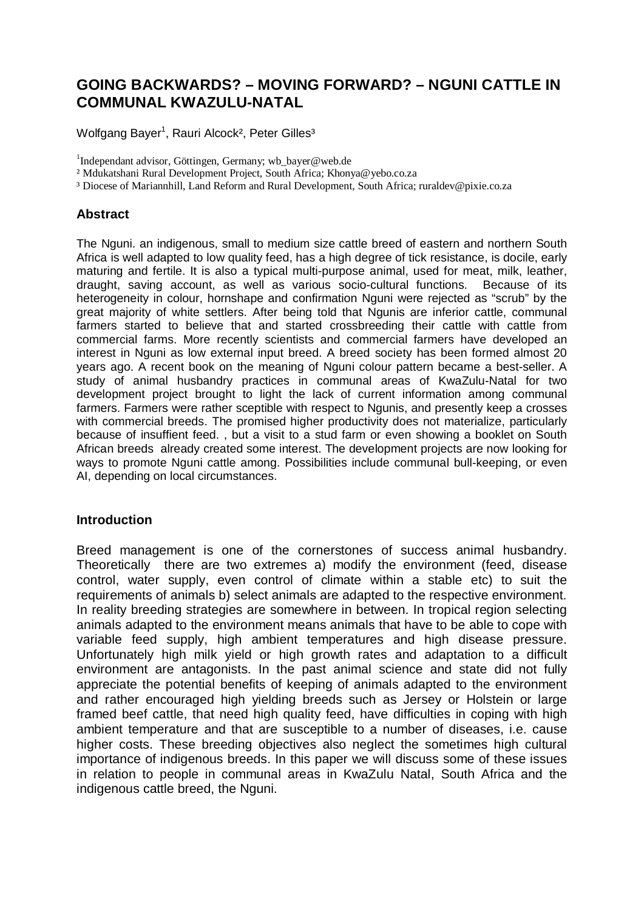# **GOING BACKWARDS? – MOVING FORWARD? – NGUNI CATTLE IN COMMUNAL KWAZULU-NATAL**

Wolfgang Bayer<sup>1</sup>, Rauri Alcock<sup>2</sup>, Peter Gilles<sup>3</sup>

<sup>1</sup>Independant advisor, Göttingen, Germany; [wb\\_bayer@web.de](mailto:wb_bayer@web.de)

² Mdukatshani Rural Development Project, South Africa; [Khonya@yebo.co.za](mailto:Khonya@yebo.co.za)

<sup>3</sup> Diocese of Mariannhill, Land Reform and Rural Development, South Africa; [ruraldev@pixie.co.za](mailto:ruraldev@pixie.co.za)

## **Abstract**

The Nguni. an indigenous, small to medium size cattle breed of eastern and northern South Africa is well adapted to low quality feed, has a high degree of tick resistance, is docile, early maturing and fertile. It is also a typical multi-purpose animal, used for meat, milk, leather, draught, saving account, as well as various socio-cultural functions. Because of its heterogeneity in colour, hornshape and confirmation Nguni were rejected as "scrub" by the great majority of white settlers. After being told that Ngunis are inferior cattle, communal farmers started to believe that and started crossbreeding their cattle with cattle from commercial farms. More recently scientists and commercial farmers have developed an interest in Nguni as low external input breed. A breed society has been formed almost 20 years ago. A recent book on the meaning of Nguni colour pattern became a best-seller. A study of animal husbandry practices in communal areas of KwaZulu-Natal for two development project brought to light the lack of current information among communal farmers. Farmers were rather sceptible with respect to Ngunis, and presently keep a crosses with commercial breeds. The promised higher productivity does not materialize, particularly because of insuffient feed. , but a visit to a stud farm or even showing a booklet on South African breeds already created some interest. The development projects are now looking for ways to promote Nguni cattle among. Possibilities include communal bull-keeping, or even AI, depending on local circumstances.

### **Introduction**

Breed management is one of the cornerstones of success animal husbandry. Theoretically there are two extremes a) modify the environment (feed, disease control, water supply, even control of climate within a stable etc) to suit the requirements of animals b) select animals are adapted to the respective environment. In reality breeding strategies are somewhere in between. In tropical region selecting animals adapted to the environment means animals that have to be able to cope with variable feed supply, high ambient temperatures and high disease pressure. Unfortunately high milk yield or high growth rates and adaptation to a difficult environment are antagonists. In the past animal science and state did not fully appreciate the potential benefits of keeping of animals adapted to the environment and rather encouraged high yielding breeds such as Jersey or Holstein or large framed beef cattle, that need high quality feed, have difficulties in coping with high ambient temperature and that are susceptible to a number of diseases, i.e. cause higher costs. These breeding objectives also neglect the sometimes high cultural importance of indigenous breeds. In this paper we will discuss some of these issues in relation to people in communal areas in KwaZulu Natal, South Africa and the indigenous cattle breed, the Nguni.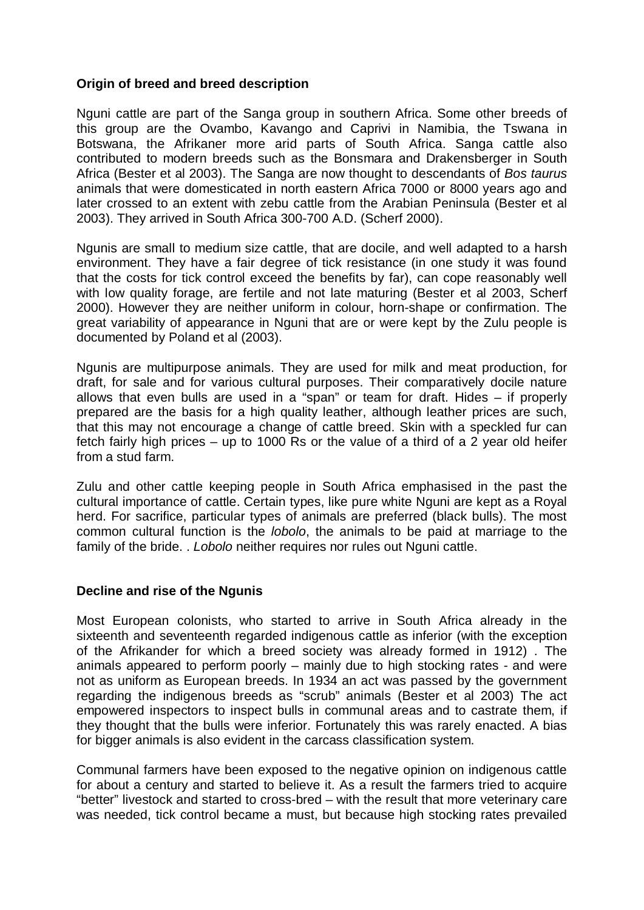## **Origin of breed and breed description**

Nguni cattle are part of the Sanga group in southern Africa. Some other breeds of this group are the Ovambo, Kavango and Caprivi in Namibia, the Tswana in Botswana, the Afrikaner more arid parts of South Africa. Sanga cattle also contributed to modern breeds such as the Bonsmara and Drakensberger in South Africa (Bester et al 2003). The Sanga are now thought to descendants of *Bos taurus* animals that were domesticated in north eastern Africa 7000 or 8000 years ago and later crossed to an extent with zebu cattle from the Arabian Peninsula (Bester et al 2003). They arrived in South Africa 300-700 A.D. (Scherf 2000).

Ngunis are small to medium size cattle, that are docile, and well adapted to a harsh environment. They have a fair degree of tick resistance (in one study it was found that the costs for tick control exceed the benefits by far), can cope reasonably well with low quality forage, are fertile and not late maturing (Bester et al 2003, Scherf 2000). However they are neither uniform in colour, horn-shape or confirmation. The great variability of appearance in Nguni that are or were kept by the Zulu people is documented by Poland et al (2003).

Ngunis are multipurpose animals. They are used for milk and meat production, for draft, for sale and for various cultural purposes. Their comparatively docile nature allows that even bulls are used in a "span" or team for draft. Hides – if properly prepared are the basis for a high quality leather, although leather prices are such, that this may not encourage a change of cattle breed. Skin with a speckled fur can fetch fairly high prices – up to 1000 Rs or the value of a third of a 2 year old heifer from a stud farm.

Zulu and other cattle keeping people in South Africa emphasised in the past the cultural importance of cattle. Certain types, like pure white Nguni are kept as a Royal herd. For sacrifice, particular types of animals are preferred (black bulls). The most common cultural function is the *lobolo*, the animals to be paid at marriage to the family of the bride. . *Lobolo* neither requires nor rules out Nguni cattle.

# **Decline and rise of the Ngunis**

Most European colonists, who started to arrive in South Africa already in the sixteenth and seventeenth regarded indigenous cattle as inferior (with the exception of the Afrikander for which a breed society was already formed in 1912) . The animals appeared to perform poorly – mainly due to high stocking rates - and were not as uniform as European breeds. In 1934 an act was passed by the government regarding the indigenous breeds as "scrub" animals (Bester et al 2003) The act empowered inspectors to inspect bulls in communal areas and to castrate them, if they thought that the bulls were inferior. Fortunately this was rarely enacted. A bias for bigger animals is also evident in the carcass classification system.

Communal farmers have been exposed to the negative opinion on indigenous cattle for about a century and started to believe it. As a result the farmers tried to acquire "better" livestock and started to cross-bred – with the result that more veterinary care was needed, tick control became a must, but because high stocking rates prevailed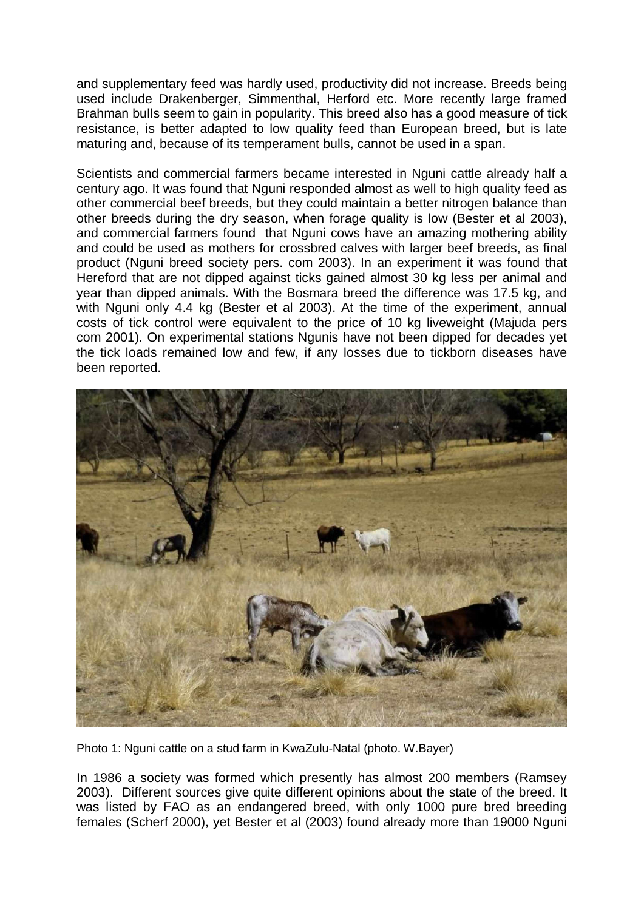and supplementary feed was hardly used, productivity did not increase. Breeds being used include Drakenberger, Simmenthal, Herford etc. More recently large framed Brahman bulls seem to gain in popularity. This breed also has a good measure of tick resistance, is better adapted to low quality feed than European breed, but is late maturing and, because of its temperament bulls, cannot be used in a span.

Scientists and commercial farmers became interested in Nguni cattle already half a century ago. It was found that Nguni responded almost as well to high quality feed as other commercial beef breeds, but they could maintain a better nitrogen balance than other breeds during the dry season, when forage quality is low (Bester et al 2003), and commercial farmers found that Nguni cows have an amazing mothering ability and could be used as mothers for crossbred calves with larger beef breeds, as final product (Nguni breed society pers. com 2003). In an experiment it was found that Hereford that are not dipped against ticks gained almost 30 kg less per animal and year than dipped animals. With the Bosmara breed the difference was 17.5 kg, and with Nguni only 4.4 kg (Bester et al 2003). At the time of the experiment, annual costs of tick control were equivalent to the price of 10 kg liveweight (Majuda pers com 2001). On experimental stations Ngunis have not been dipped for decades yet the tick loads remained low and few, if any losses due to tickborn diseases have been reported.



Photo 1: Nguni cattle on a stud farm in KwaZulu-Natal (photo. W.Bayer)

In 1986 a society was formed which presently has almost 200 members (Ramsey 2003). Different sources give quite different opinions about the state of the breed. It was listed by FAO as an endangered breed, with only 1000 pure bred breeding females (Scherf 2000), yet Bester et al (2003) found already more than 19000 Nguni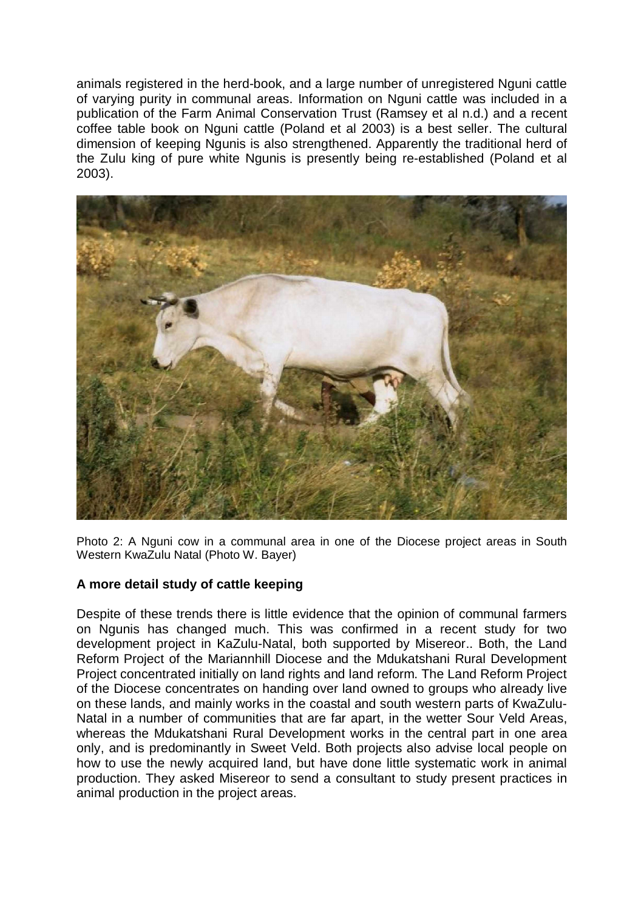animals registered in the herd-book, and a large number of unregistered Nguni cattle of varying purity in communal areas. Information on Nguni cattle was included in a publication of the Farm Animal Conservation Trust (Ramsey et al n.d.) and a recent coffee table book on Nguni cattle (Poland et al 2003) is a best seller. The cultural dimension of keeping Ngunis is also strengthened. Apparently the traditional herd of the Zulu king of pure white Ngunis is presently being re-established (Poland et al 2003).



Photo 2: A Nguni cow in a communal area in one of the Diocese project areas in South Western KwaZulu Natal (Photo W. Bayer)

# **A more detail study of cattle keeping**

Despite of these trends there is little evidence that the opinion of communal farmers on Ngunis has changed much. This was confirmed in a recent study for two development project in KaZulu-Natal, both supported by Misereor.. Both, the Land Reform Project of the Mariannhill Diocese and the Mdukatshani Rural Development Project concentrated initially on land rights and land reform. The Land Reform Project of the Diocese concentrates on handing over land owned to groups who already live on these lands, and mainly works in the coastal and south western parts of KwaZulu-Natal in a number of communities that are far apart, in the wetter Sour Veld Areas, whereas the Mdukatshani Rural Development works in the central part in one area only, and is predominantly in Sweet Veld. Both projects also advise local people on how to use the newly acquired land, but have done little systematic work in animal production. They asked Misereor to send a consultant to study present practices in animal production in the project areas.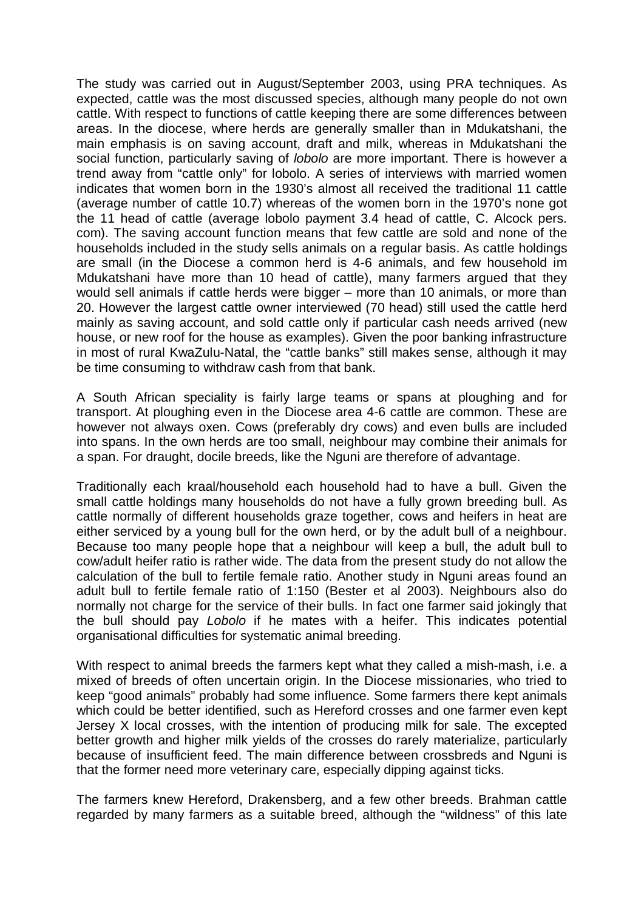The study was carried out in August/September 2003, using PRA techniques. As expected, cattle was the most discussed species, although many people do not own cattle. With respect to functions of cattle keeping there are some differences between areas. In the diocese, where herds are generally smaller than in Mdukatshani, the main emphasis is on saving account, draft and milk, whereas in Mdukatshani the social function, particularly saving of *lobolo* are more important. There is however a trend away from "cattle only" for lobolo. A series of interviews with married women indicates that women born in the 1930's almost all received the traditional 11 cattle (average number of cattle 10.7) whereas of the women born in the 1970's none got the 11 head of cattle (average lobolo payment 3.4 head of cattle, C. Alcock pers. com). The saving account function means that few cattle are sold and none of the households included in the study sells animals on a regular basis. As cattle holdings are small (in the Diocese a common herd is 4-6 animals, and few household im Mdukatshani have more than 10 head of cattle), many farmers argued that they would sell animals if cattle herds were bigger – more than 10 animals, or more than 20. However the largest cattle owner interviewed (70 head) still used the cattle herd mainly as saving account, and sold cattle only if particular cash needs arrived (new house, or new roof for the house as examples). Given the poor banking infrastructure in most of rural KwaZulu-Natal, the "cattle banks" still makes sense, although it may be time consuming to withdraw cash from that bank.

A South African speciality is fairly large teams or spans at ploughing and for transport. At ploughing even in the Diocese area 4-6 cattle are common. These are however not always oxen. Cows (preferably dry cows) and even bulls are included into spans. In the own herds are too small, neighbour may combine their animals for a span. For draught, docile breeds, like the Nguni are therefore of advantage.

Traditionally each kraal/household each household had to have a bull. Given the small cattle holdings many households do not have a fully grown breeding bull. As cattle normally of different households graze together, cows and heifers in heat are either serviced by a young bull for the own herd, or by the adult bull of a neighbour. Because too many people hope that a neighbour will keep a bull, the adult bull to cow/adult heifer ratio is rather wide. The data from the present study do not allow the calculation of the bull to fertile female ratio. Another study in Nguni areas found an adult bull to fertile female ratio of 1:150 (Bester et al 2003). Neighbours also do normally not charge for the service of their bulls. In fact one farmer said jokingly that the bull should pay *Lobolo* if he mates with a heifer. This indicates potential organisational difficulties for systematic animal breeding.

With respect to animal breeds the farmers kept what they called a mish-mash, i.e. a mixed of breeds of often uncertain origin. In the Diocese missionaries, who tried to keep "good animals" probably had some influence. Some farmers there kept animals which could be better identified, such as Hereford crosses and one farmer even kept Jersey X local crosses, with the intention of producing milk for sale. The excepted better growth and higher milk yields of the crosses do rarely materialize, particularly because of insufficient feed. The main difference between crossbreds and Nguni is that the former need more veterinary care, especially dipping against ticks.

The farmers knew Hereford, Drakensberg, and a few other breeds. Brahman cattle regarded by many farmers as a suitable breed, although the "wildness" of this late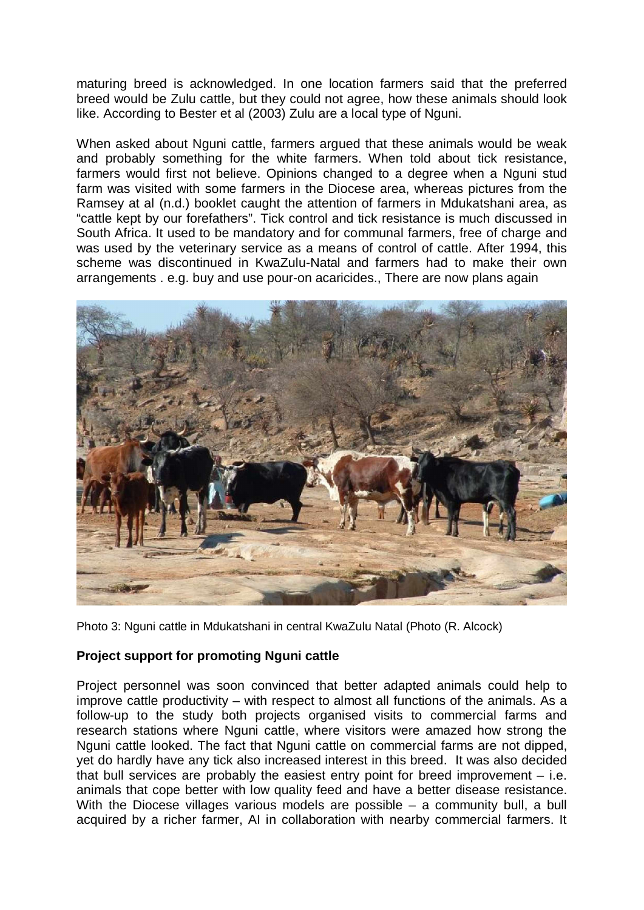maturing breed is acknowledged. In one location farmers said that the preferred breed would be Zulu cattle, but they could not agree, how these animals should look like. According to Bester et al (2003) Zulu are a local type of Nguni.

When asked about Nguni cattle, farmers argued that these animals would be weak and probably something for the white farmers. When told about tick resistance, farmers would first not believe. Opinions changed to a degree when a Nguni stud farm was visited with some farmers in the Diocese area, whereas pictures from the Ramsey at al (n.d.) booklet caught the attention of farmers in Mdukatshani area, as "cattle kept by our forefathers". Tick control and tick resistance is much discussed in South Africa. It used to be mandatory and for communal farmers, free of charge and was used by the veterinary service as a means of control of cattle. After 1994, this scheme was discontinued in KwaZulu-Natal and farmers had to make their own arrangements . e.g. buy and use pour-on acaricides., There are now plans again



Photo 3: Nguni cattle in Mdukatshani in central KwaZulu Natal (Photo (R. Alcock)

### **Project support for promoting Nguni cattle**

Project personnel was soon convinced that better adapted animals could help to improve cattle productivity – with respect to almost all functions of the animals. As a follow-up to the study both projects organised visits to commercial farms and research stations where Nguni cattle, where visitors were amazed how strong the Nguni cattle looked. The fact that Nguni cattle on commercial farms are not dipped, yet do hardly have any tick also increased interest in this breed. It was also decided that bull services are probably the easiest entry point for breed improvement – i.e. animals that cope better with low quality feed and have a better disease resistance. With the Diocese villages various models are possible – a community bull, a bull acquired by a richer farmer, AI in collaboration with nearby commercial farmers. It